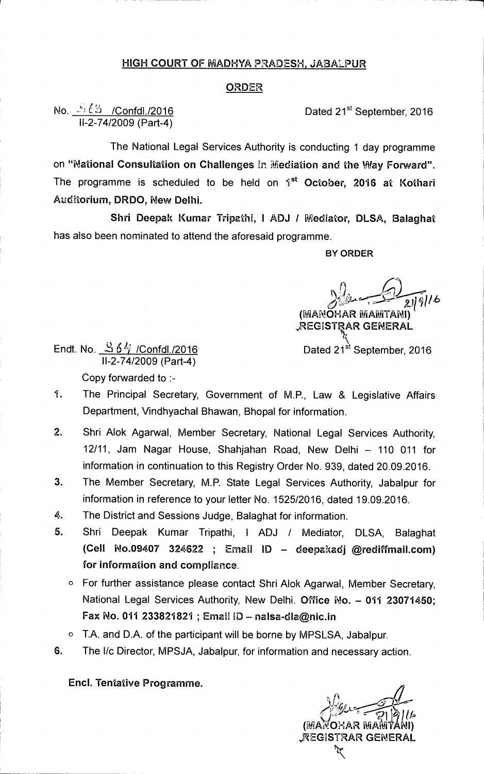## **HIGH COURT OF MADHYA PRADESH, JABALPUR**

## **ORDER**

**No.**  $\sqrt{3}$  /Confdl./2016 **Dated 21<sup>st</sup> September, 2016 11-2-74/2009 (Part-4)** 

**The National Legal Services Authority is conducting 1 day programme on "National Consultation on Challenges** *in* **lifiediation and the Way Forward".**  The programme is scheduled to be held on 1<sup>st</sup> October, 2016 at Kothari **Auditorium, DRDO, New Delhi.** 

**Shri Deepak Kumar Tripathi, I ADJ / Mediator, DLSA, Balaghat has also been nominated to attend the aforesaid programme.** 

**BY ORDER** 

*245// 6*  **(MANOHAR MAMTANI)** 

**"REGISTRAR GENERAL** 

**Endt. No. Si 611/ /Confdl./2016 Dated 21st September, 2016 11-2-74/2009 (Part-4)** 

**Copy forwarded to :-** 

- **1. The Principal Secretary, Government of M.P., Law & Legislative Affairs Department, Vindhyachal Bhawan, Bhopal for information.**
- **2. Shri Alok Agarwal, Member Secretary, National Legal Services Authority, 12/11, Jam Nagar House, Shahjahan Road, New Delhi — 110 011 for information in continuation to this Registry Order No. 939, dated 20.09.2016.**
- **3. The Member Secretary, M.P. State Legal Services Authority, Jabalpur for information in reference to your letter No. 1525/2016, dated 19.09.2016.**
- **4. The District and Sessions Judge, Balaghat for information.**
- **5. Shri Deepak Kumar Tripathi, 1 ADJ / Mediator, DLSA, Balaghat (Cell No.09407 324622 ; Email ID — deepakadja@rediffmail.com) for information and compliance.** 
	- **o For further assistance please contact Shri Alok Agarwal, Member Secretary, National Legal Services Authority, New Delhi. Office No. — 011 23071450; Fax No. 011 233821821 ; Email ID — nalsa-dla@nic.in**
	- **o T.A. and D.A. of the participant will be borne by MPSLSA, Jabalpur.**
- **6.** The I/c Director, MPSJA, Jabalpur, for information and necessary action.

**Encl. Tentative Programme.** 

 $\mathcal{C}$ **MAROHAR**  $\gtrless$ AEGISTRAR GENERAL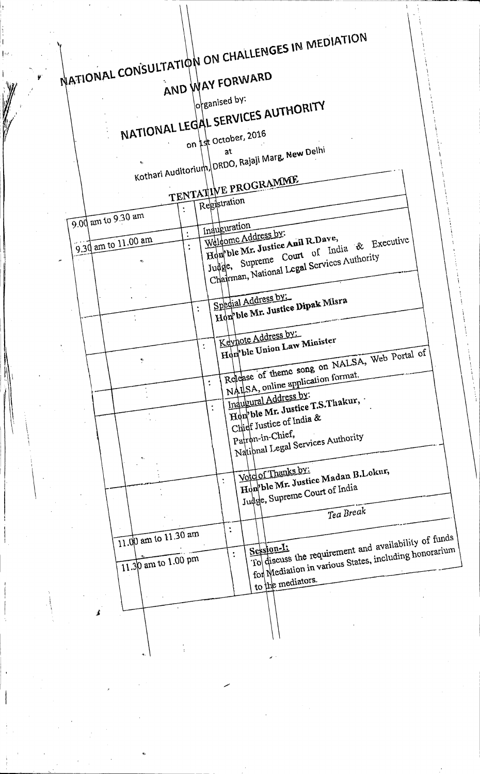